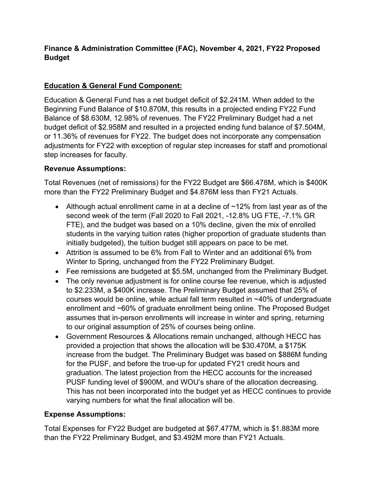## **Finance & Administration Committee (FAC), November 4, 2021, FY22 Proposed Budget**

# **Education & General Fund Component:**

Education & General Fund has a net budget deficit of \$2.241M. When added to the Beginning Fund Balance of \$10.870M, this results in a projected ending FY22 Fund Balance of \$8.630M, 12.98% of revenues. The FY22 Preliminary Budget had a net budget deficit of \$2.958M and resulted in a projected ending fund balance of \$7.504M, or 11.36% of revenues for FY22. The budget does not incorporate any compensation adjustments for FY22 with exception of regular step increases for staff and promotional step increases for faculty.

## **Revenue Assumptions:**

Total Revenues (net of remissions) for the FY22 Budget are \$66.478M, which is \$400K more than the FY22 Preliminary Budget and \$4.876M less than FY21 Actuals.

- Although actual enrollment came in at a decline of  $\sim$ 12% from last year as of the second week of the term (Fall 2020 to Fall 2021, -12.8% UG FTE, -7.1% GR FTE), and the budget was based on a 10% decline, given the mix of enrolled students in the varying tuition rates (higher proportion of graduate students than initially budgeted), the tuition budget still appears on pace to be met.
- Attrition is assumed to be 6% from Fall to Winter and an additional 6% from Winter to Spring, unchanged from the FY22 Preliminary Budget.
- Fee remissions are budgeted at \$5.5M, unchanged from the Preliminary Budget.
- The only revenue adjustment is for online course fee revenue, which is adjusted to \$2.233M, a \$400K increase. The Preliminary Budget assumed that 25% of courses would be online, while actual fall term resulted in ~40% of undergraduate enrollment and ~60% of graduate enrollment being online. The Proposed Budget assumes that in-person enrollments will increase in winter and spring, returning to our original assumption of 25% of courses being online.
- Government Resources & Allocations remain unchanged, although HECC has provided a projection that shows the allocation will be \$30.470M, a \$175K increase from the budget. The Preliminary Budget was based on \$886M funding for the PUSF, and before the true-up for updated FY21 credit hours and graduation. The latest projection from the HECC accounts for the increased PUSF funding level of \$900M, and WOU's share of the allocation decreasing. This has not been incorporated into the budget yet as HECC continues to provide varying numbers for what the final allocation will be.

## **Expense Assumptions:**

Total Expenses for FY22 Budget are budgeted at \$67.477M, which is \$1.883M more than the FY22 Preliminary Budget, and \$3.492M more than FY21 Actuals.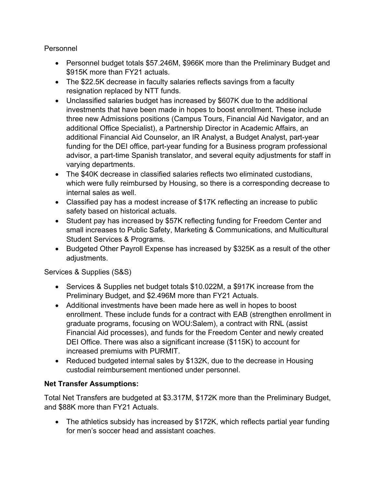Personnel

- Personnel budget totals \$57.246M, \$966K more than the Preliminary Budget and \$915K more than FY21 actuals.
- The \$22.5K decrease in faculty salaries reflects savings from a faculty resignation replaced by NTT funds.
- Unclassified salaries budget has increased by \$607K due to the additional investments that have been made in hopes to boost enrollment. These include three new Admissions positions (Campus Tours, Financial Aid Navigator, and an additional Office Specialist), a Partnership Director in Academic Affairs, an additional Financial Aid Counselor, an IR Analyst, a Budget Analyst, part-year funding for the DEI office, part-year funding for a Business program professional advisor, a part-time Spanish translator, and several equity adjustments for staff in varying departments.
- The \$40K decrease in classified salaries reflects two eliminated custodians, which were fully reimbursed by Housing, so there is a corresponding decrease to internal sales as well.
- Classified pay has a modest increase of \$17K reflecting an increase to public safety based on historical actuals.
- Student pay has increased by \$57K reflecting funding for Freedom Center and small increases to Public Safety, Marketing & Communications, and Multicultural Student Services & Programs.
- Budgeted Other Payroll Expense has increased by \$325K as a result of the other adjustments.

Services & Supplies (S&S)

- Services & Supplies net budget totals \$10.022M, a \$917K increase from the Preliminary Budget, and \$2.496M more than FY21 Actuals.
- Additional investments have been made here as well in hopes to boost enrollment. These include funds for a contract with EAB (strengthen enrollment in graduate programs, focusing on WOU:Salem), a contract with RNL (assist Financial Aid processes), and funds for the Freedom Center and newly created DEI Office. There was also a significant increase (\$115K) to account for increased premiums with PURMIT.
- Reduced budgeted internal sales by \$132K, due to the decrease in Housing custodial reimbursement mentioned under personnel.

#### **Net Transfer Assumptions:**

Total Net Transfers are budgeted at \$3.317M, \$172K more than the Preliminary Budget, and \$88K more than FY21 Actuals.

• The athletics subsidy has increased by \$172K, which reflects partial year funding for men's soccer head and assistant coaches.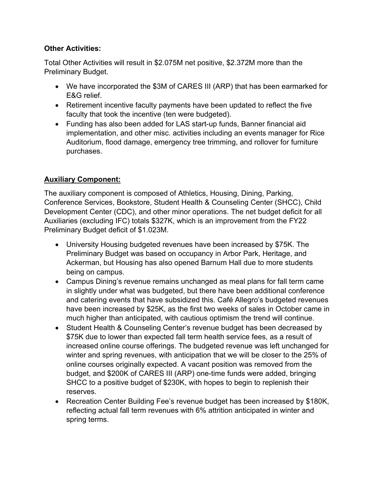#### **Other Activities:**

Total Other Activities will result in \$2.075M net positive, \$2.372M more than the Preliminary Budget.

- We have incorporated the \$3M of CARES III (ARP) that has been earmarked for E&G relief.
- Retirement incentive faculty payments have been updated to reflect the five faculty that took the incentive (ten were budgeted).
- Funding has also been added for LAS start-up funds, Banner financial aid implementation, and other misc. activities including an events manager for Rice Auditorium, flood damage, emergency tree trimming, and rollover for furniture purchases.

## **Auxiliary Component:**

The auxiliary component is composed of Athletics, Housing, Dining, Parking, Conference Services, Bookstore, Student Health & Counseling Center (SHCC), Child Development Center (CDC), and other minor operations. The net budget deficit for all Auxiliaries (excluding IFC) totals \$327K, which is an improvement from the FY22 Preliminary Budget deficit of \$1.023M.

- University Housing budgeted revenues have been increased by \$75K. The Preliminary Budget was based on occupancy in Arbor Park, Heritage, and Ackerman, but Housing has also opened Barnum Hall due to more students being on campus.
- Campus Dining's revenue remains unchanged as meal plans for fall term came in slightly under what was budgeted, but there have been additional conference and catering events that have subsidized this. Café Allegro's budgeted revenues have been increased by \$25K, as the first two weeks of sales in October came in much higher than anticipated, with cautious optimism the trend will continue.
- Student Health & Counseling Center's revenue budget has been decreased by \$75K due to lower than expected fall term health service fees, as a result of increased online course offerings. The budgeted revenue was left unchanged for winter and spring revenues, with anticipation that we will be closer to the 25% of online courses originally expected. A vacant position was removed from the budget, and \$200K of CARES III (ARP) one-time funds were added, bringing SHCC to a positive budget of \$230K, with hopes to begin to replenish their reserves.
- Recreation Center Building Fee's revenue budget has been increased by \$180K, reflecting actual fall term revenues with 6% attrition anticipated in winter and spring terms.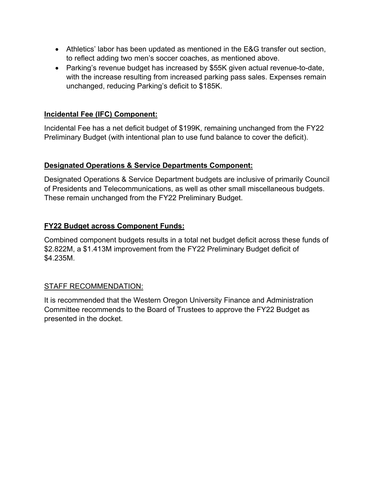- Athletics' labor has been updated as mentioned in the E&G transfer out section, to reflect adding two men's soccer coaches, as mentioned above.
- Parking's revenue budget has increased by \$55K given actual revenue-to-date, with the increase resulting from increased parking pass sales. Expenses remain unchanged, reducing Parking's deficit to \$185K.

#### **Incidental Fee (IFC) Component:**

Incidental Fee has a net deficit budget of \$199K, remaining unchanged from the FY22 Preliminary Budget (with intentional plan to use fund balance to cover the deficit).

#### **Designated Operations & Service Departments Component:**

Designated Operations & Service Department budgets are inclusive of primarily Council of Presidents and Telecommunications, as well as other small miscellaneous budgets. These remain unchanged from the FY22 Preliminary Budget.

## **FY22 Budget across Component Funds:**

Combined component budgets results in a total net budget deficit across these funds of \$2.822M, a \$1.413M improvement from the FY22 Preliminary Budget deficit of \$4.235M.

#### STAFF RECOMMENDATION:

It is recommended that the Western Oregon University Finance and Administration Committee recommends to the Board of Trustees to approve the FY22 Budget as presented in the docket.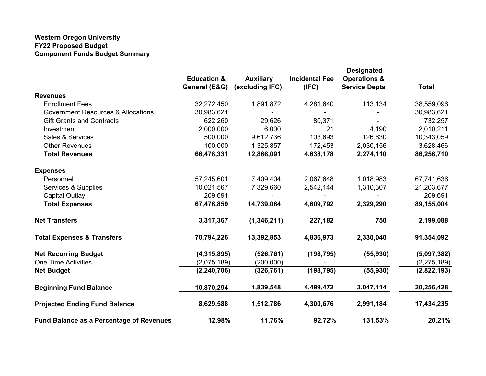#### **Western Oregon University FY22 Proposed Budget Component Funds Budget Summary**

|                                                 | <b>Education &amp;</b><br>General (E&G) | <b>Auxiliary</b><br>(excluding IFC) | <b>Incidental Fee</b><br>(IFC) | <b>Designated</b><br><b>Operations &amp;</b><br><b>Service Depts</b> | <b>Total</b>  |
|-------------------------------------------------|-----------------------------------------|-------------------------------------|--------------------------------|----------------------------------------------------------------------|---------------|
| <b>Revenues</b>                                 |                                         |                                     |                                |                                                                      |               |
| <b>Enrollment Fees</b>                          | 32,272,450                              | 1,891,872                           | 4,281,640                      | 113,134                                                              | 38,559,096    |
| <b>Government Resources &amp; Allocations</b>   | 30,983,621                              |                                     |                                |                                                                      | 30,983,621    |
| <b>Gift Grants and Contracts</b>                | 622,260                                 | 29,626                              | 80,371                         |                                                                      | 732,257       |
| Investment                                      | 2,000,000                               | 6,000                               | 21                             | 4,190                                                                | 2,010,211     |
| Sales & Services                                | 500,000                                 | 9,612,736                           | 103,693                        | 126,630                                                              | 10,343,059    |
| <b>Other Revenues</b>                           | 100,000                                 | 1,325,857                           | 172,453                        | 2,030,156                                                            | 3,628,466     |
| <b>Total Revenues</b>                           | 66,478,331                              | 12,866,091                          | 4,638,178                      | 2,274,110                                                            | 86,256,710    |
| <b>Expenses</b>                                 |                                         |                                     |                                |                                                                      |               |
| Personnel                                       | 57,245,601                              | 7,409,404                           | 2,067,648                      | 1,018,983                                                            | 67,741,636    |
| Services & Supplies                             | 10,021,567                              | 7,329,660                           | 2,542,144                      | 1,310,307                                                            | 21,203,677    |
| <b>Capital Outlay</b>                           | 209,691                                 |                                     |                                |                                                                      | 209,691       |
| <b>Total Expenses</b>                           | 67,476,859                              | 14,739,064                          | 4,609,792                      | 2,329,290                                                            | 89,155,004    |
| <b>Net Transfers</b>                            | 3,317,367                               | (1, 346, 211)                       | 227,182                        | 750                                                                  | 2,199,088     |
| <b>Total Expenses &amp; Transfers</b>           | 70,794,226                              | 13,392,853                          | 4,836,973                      | 2,330,040                                                            | 91,354,092    |
| <b>Net Recurring Budget</b>                     | (4,315,895)                             | (526, 761)                          | (198, 795)                     | (55, 930)                                                            | (5,097,382)   |
| <b>One Time Activities</b>                      | (2,075,189)                             | (200,000)                           |                                |                                                                      | (2, 275, 189) |
| <b>Net Budget</b>                               | (2, 240, 706)                           | (326, 761)                          | (198, 795)                     | (55, 930)                                                            | (2,822,193)   |
| <b>Beginning Fund Balance</b>                   | 10,870,294                              | 1,839,548                           | 4,499,472                      | 3,047,114                                                            | 20,256,428    |
| <b>Projected Ending Fund Balance</b>            | 8,629,588                               | 1,512,786                           | 4,300,676                      | 2,991,184                                                            | 17,434,235    |
| <b>Fund Balance as a Percentage of Revenues</b> | 12.98%                                  | 11.76%                              | 92.72%                         | 131.53%                                                              | 20.21%        |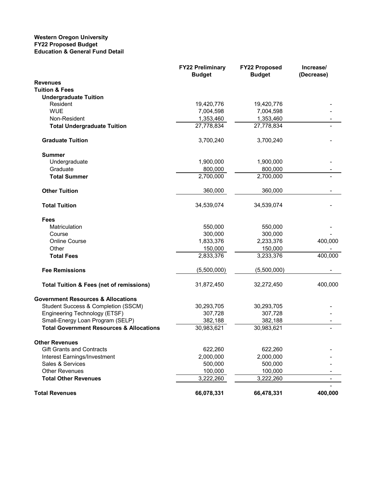#### **Western Oregon University FY22 Proposed Budget Education & General Fund Detail**

|                                                     | <b>FY22 Preliminary</b><br><b>Budget</b> | <b>FY22 Proposed</b><br><b>Budget</b> | Increase/<br>(Decrease) |
|-----------------------------------------------------|------------------------------------------|---------------------------------------|-------------------------|
| <b>Revenues</b>                                     |                                          |                                       |                         |
| <b>Tuition &amp; Fees</b>                           |                                          |                                       |                         |
| <b>Undergraduate Tuition</b>                        |                                          |                                       |                         |
| Resident                                            | 19,420,776                               | 19,420,776                            |                         |
| <b>WUE</b>                                          | 7,004,598                                | 7,004,598                             |                         |
| Non-Resident                                        | 1,353,460                                | 1,353,460                             |                         |
| <b>Total Undergraduate Tuition</b>                  | 27,778,834                               | 27,778,834                            |                         |
| <b>Graduate Tuition</b>                             | 3,700,240                                | 3,700,240                             |                         |
| <b>Summer</b>                                       |                                          |                                       |                         |
| Undergraduate                                       | 1,900,000                                | 1,900,000                             |                         |
| Graduate                                            | 800,000                                  | 800,000                               |                         |
| <b>Total Summer</b>                                 | 2,700,000                                | 2,700,000                             |                         |
| <b>Other Tuition</b>                                | 360,000                                  | 360,000                               |                         |
| <b>Total Tuition</b>                                | 34,539,074                               | 34,539,074                            |                         |
| Fees                                                |                                          |                                       |                         |
| Matriculation                                       | 550,000                                  | 550,000                               |                         |
| Course                                              | 300,000                                  | 300,000                               |                         |
| Online Course                                       | 1,833,376                                | 2,233,376                             | 400,000                 |
| Other                                               | 150,000                                  | 150,000                               |                         |
| <b>Total Fees</b>                                   | 2,833,376                                | 3,233,376                             | 400,000                 |
| <b>Fee Remissions</b>                               | (5,500,000)                              | (5,500,000)                           |                         |
| <b>Total Tuition &amp; Fees (net of remissions)</b> | 31,872,450                               | 32,272,450                            | 400,000                 |
| <b>Government Resources &amp; Allocations</b>       |                                          |                                       |                         |
| Student Success & Completion (SSCM)                 | 30,293,705                               | 30,293,705                            |                         |
| Engineering Technology (ETSF)                       | 307,728                                  | 307,728                               |                         |
| Small-Energy Loan Program (SELP)                    | 382,188                                  | 382,188                               |                         |
| <b>Total Government Resources &amp; Allocations</b> | 30,983,621                               | 30,983,621                            |                         |
| <b>Other Revenues</b>                               |                                          |                                       |                         |
| <b>Gift Grants and Contracts</b>                    | 622,260                                  | 622,260                               |                         |
| Interest Earnings/Investment                        | 2,000,000                                | 2,000,000                             |                         |
| Sales & Services                                    | 500,000                                  | 500,000                               |                         |
| <b>Other Revenues</b>                               | 100,000                                  | 100,000                               |                         |
| <b>Total Other Revenues</b>                         | 3,222,260                                | 3,222,260                             | $\blacksquare$          |
| <b>Total Revenues</b>                               | 66,078,331                               | 66,478,331                            | 400,000                 |